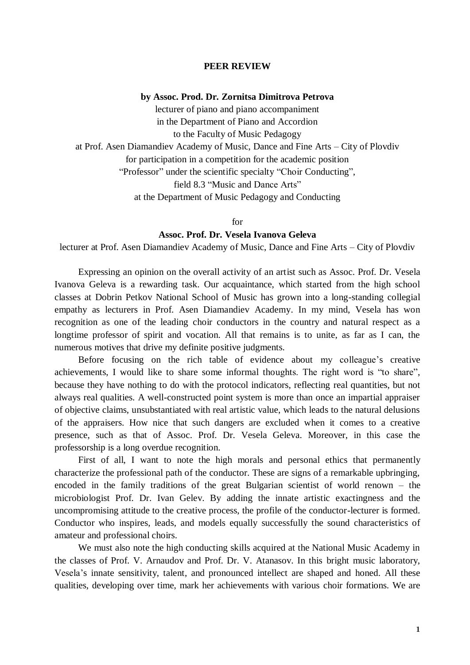## **PEER REVIEW**

## **by Assoc. Prod. Dr. Zornitsa Dimitrova Petrova**

lecturer of piano and piano accompaniment in the Department of Piano and Accordion to the Faculty of Music Pedagogy at Prof. Asen Diamandiev Academy of Music, Dance and Fine Arts – City of Plovdiv for participation in a competition for the academic position "Professor" under the scientific specialty "Choir Conducting", field 8.3 "Music and Dance Arts" at the Department of Music Pedagogy and Conducting

for

## **Assoc. Prof. Dr. Vesela Ivanova Geleva**

lecturer at Prof. Asen Diamandiev Academy of Music, Dance and Fine Arts – City of Plovdiv

Expressing an opinion on the overall activity of an artist such as Assoc. Prof. Dr. Vesela Ivanova Geleva is a rewarding task. Our acquaintance, which started from the high school classes at Dobrin Petkov National School of Music has grown into a long-standing collegial empathy as lecturers in Prof. Asen Diamandiev Academy. In my mind, Vesela has won recognition as one of the leading choir conductors in the country and natural respect as a longtime professor of spirit and vocation. All that remains is to unite, as far as I can, the numerous motives that drive my definite positive judgments.

Before focusing on the rich table of evidence about my colleague's creative achievements, I would like to share some informal thoughts. The right word is "to share", because they have nothing to do with the protocol indicators, reflecting real quantities, but not always real qualities. A well-constructed point system is more than once an impartial appraiser of objective claims, unsubstantiated with real artistic value, which leads to the natural delusions of the appraisers. How nice that such dangers are excluded when it comes to a creative presence, such as that of Assoc. Prof. Dr. Vesela Geleva. Moreover, in this case the professorship is a long overdue recognition.

First of all, I want to note the high morals and personal ethics that permanently characterize the professional path of the conductor. These are signs of a remarkable upbringing, encoded in the family traditions of the great Bulgarian scientist of world renown – the microbiologist Prof. Dr. Ivan Gelev. By adding the innate artistic exactingness and the uncompromising attitude to the creative process, the profile of the conductor-lecturer is formed. Conductor who inspires, leads, and models equally successfully the sound characteristics of amateur and professional choirs.

We must also note the high conducting skills acquired at the National Music Academy in the classes of Prof. V. Arnaudov and Prof. Dr. V. Atanasov. In this bright music laboratory, Vesela's innate sensitivity, talent, and pronounced intellect are shaped and honed. All these qualities, developing over time, mark her achievements with various choir formations. We are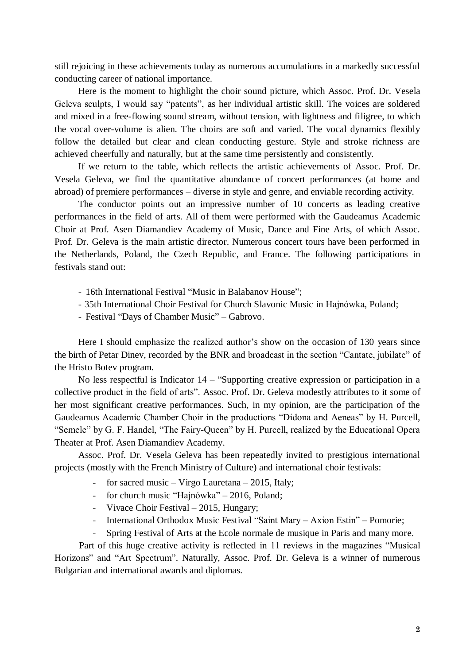still rejoicing in these achievements today as numerous accumulations in a markedly successful conducting career of national importance.

Here is the moment to highlight the choir sound picture, which Assoc. Prof. Dr. Vesela Geleva sculpts, I would say "patents", as her individual artistic skill. The voices are soldered and mixed in a free-flowing sound stream, without tension, with lightness and filigree, to which the vocal over-volume is alien. The choirs are soft and varied. The vocal dynamics flexibly follow the detailed but clear and clean conducting gesture. Style and stroke richness are achieved cheerfully and naturally, but at the same time persistently and consistently.

If we return to the table, which reflects the artistic achievements of Assoc. Prof. Dr. Vesela Geleva, we find the quantitative abundance of concert performances (at home and abroad) of premiere performances – diverse in style and genre, and enviable recording activity.

The conductor points out an impressive number of 10 concerts as leading creative performances in the field of arts. All of them were performed with the Gaudeamus Academic Choir at Prof. Asen Diamandiev Academy of Music, Dance and Fine Arts, of which Assoc. Prof. Dr. Geleva is the main artistic director. Numerous concert tours have been performed in the Netherlands, Poland, the Czech Republic, and France. The following participations in festivals stand out:

- 16th International Festival "Music in Balabanov House";
- 35th International Choir Festival for Church Slavonic Music in Hajnówka, Poland;
- Festival "Days of Chamber Music" Gabrovo.

Here I should emphasize the realized author's show on the occasion of 130 years since the birth of Petar Dinev, recorded by the BNR and broadcast in the section "Cantate, jubilate" of the Hristo Botev program.

No less respectful is Indicator 14 – "Supporting creative expression or participation in a collective product in the field of arts". Assoc. Prof. Dr. Geleva modestly attributes to it some of her most significant creative performances. Such, in my opinion, are the participation of the Gaudeamus Academic Chamber Choir in the productions "Didona and Aeneas" by H. Purcell, "Semele" by G. F. Handel, "The Fairy-Queen" by H. Purcell, realized by the Educational Opera Theater at Prof. Asen Diamandiev Academy.

Assoc. Prof. Dr. Vesela Geleva has been repeatedly invited to prestigious international projects (mostly with the French Ministry of Culture) and international choir festivals:

- for sacred music Virgo Lauretana 2015, Italy;
- for church music "Hajnówka" 2016, Poland;
- Vivace Choir Festival 2015, Hungary;
- International Orthodox Music Festival "Saint Mary Axion Estin" Pomorie;
- Spring Festival of Arts at the Ecole normale de musique in Paris and many more.

Part of this huge creative activity is reflected in 11 reviews in the magazines "Musical Horizons" and "Art Spectrum". Naturally, Assoc. Prof. Dr. Geleva is a winner of numerous Bulgarian and international awards and diplomas.